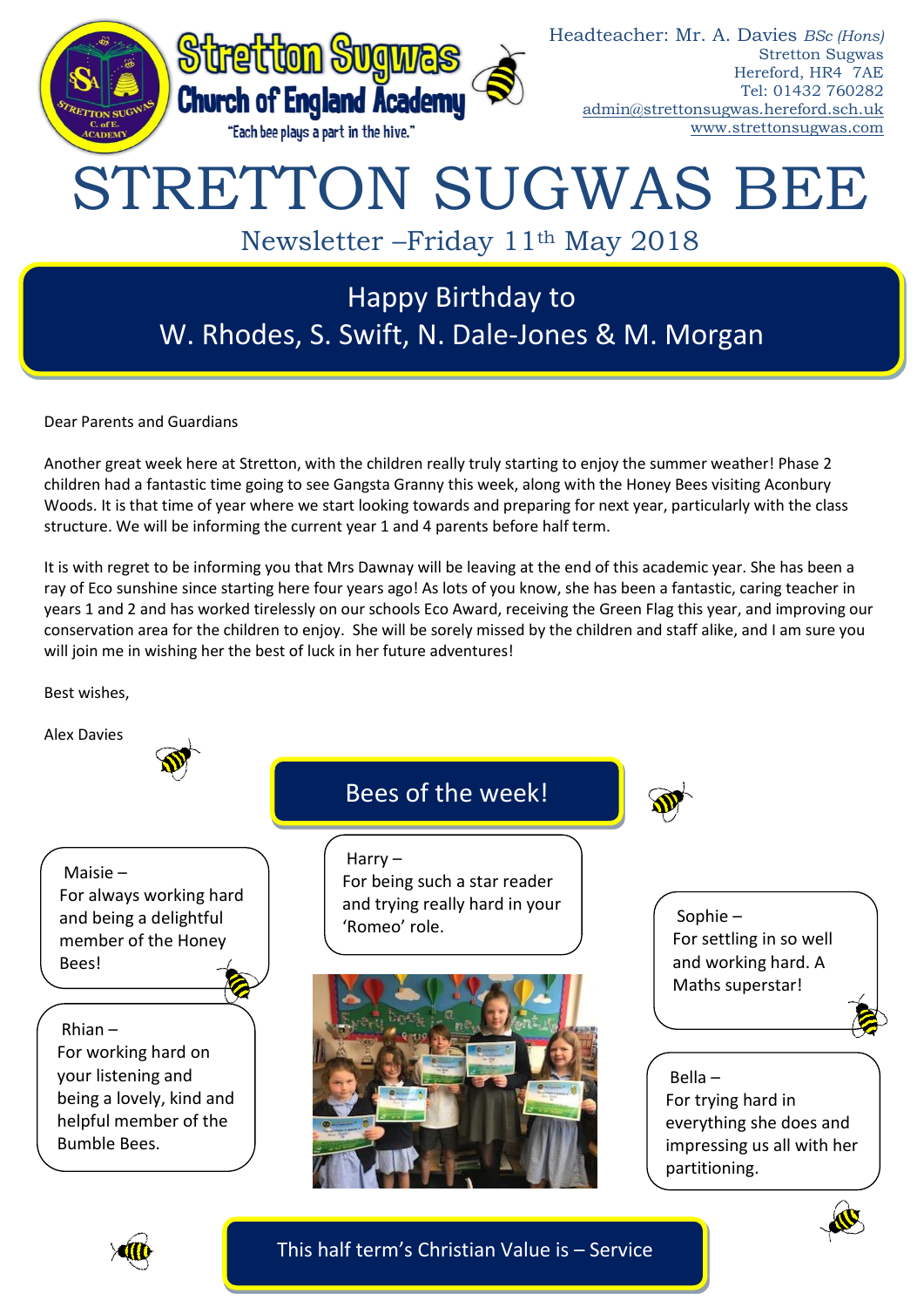

Dear Parents and Guardians

Another great week here at Stretton, with the children really truly starting to enjoy the summer weather! Phase 2 children had a fantastic time going to see Gangsta Granny this week, along with the Honey Bees visiting Aconbury Woods. It is that time of year where we start looking towards and preparing for next year, particularly with the class structure. We will be informing the current year 1 and 4 parents before half term.

It is with regret to be informing you that Mrs Dawnay will be leaving at the end of this academic year. She has been a ray of Eco sunshine since starting here four years ago! As lots of you know, she has been a fantastic, caring teacher in years 1 and 2 and has worked tirelessly on our schools Eco Award, receiving the Green Flag this year, and improving our conservation area for the children to enjoy. She will be sorely missed by the children and staff alike, and I am sure you will join me in wishing her the best of luck in her future adventures!

Best wishes,

Alex Davies





This half term's Christian Value is – Service